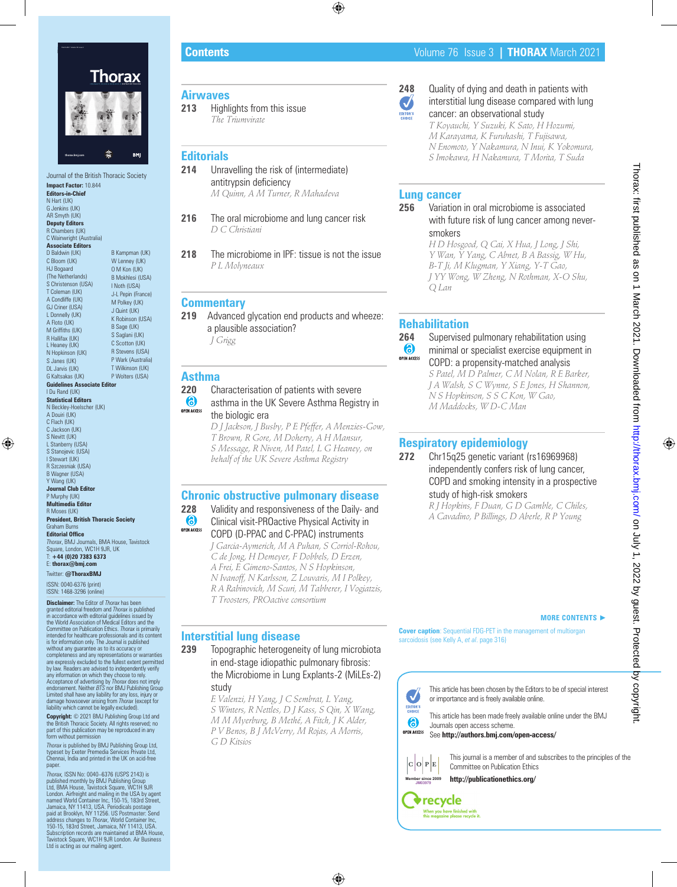

**Impact Factor:** 10.844 **Editors-in-Chief** N Hart (UK) G Jenkins (UK) AR Smyth (UK) **Deputy Editors** R Chambers (UK) C Wainwright (Australia) **Associate Editors** D Baldwin (UK) C Bloom (UK) HJ Bogaard (The Netherlands) S Christenson (USA) T Coleman (UK) A Condliffe (UK) GJ Criner (USA) L Donnelly (UK) A Floto (UK) M Griffiths (UK) R Hallifax (UK) L Heaney (UK) N Hopkinson (UK) S Janes (UK) DL Jarvis (UK) G Kaltsakas (UK) B Kampman (UK) W Lenney (UK) O M Kon (UK) B Mokhlesi (USA) I Noth (USA) J-L Pepin (France) M Polkey (UK) J Quint (UK) K Robinson (USA) B Sage (UK) S Saglani (UK) C Scotton (UK) R Stevens (USA) P Wark (Australia) T Wilkinson (UK) P Wolters (USA) **Guidelines Associate Editor** I Du Rand (UK) **Statistical Editors** N Beckley-Hoelscher (UK) A Douiri (UK) C Flach (UK) C Jackson (UK) S Nevitt (UK) L Stanberry (USA) S Stanojevic (USA) I Stewart (UK) R Szczesniak (USA) B Wagner (USA) Y Wang (UK) **Journal Club Editor** P Murphy (UK) **Multimedia Editor** R Moses (UK) **President, British Thoracic Society**

Graham Burn **Editorial Office** *Thorax*, BMJ Journals, BMA House, Tavistock Square, London, WC1H 9JR, UK T: **+44 (0)20 7383 6373**

E: **thorax@bmj.com** Twitter: **@ThoraxBMJ**

ISSN: 0040-6376 (print) ISSN: 1468-3296 (online)

**Disclaimer:** The Editor of *Thorax* has been granted editorial freedom and *Thorax* is published<br>in accordance with editorial guidelines issued by<br>the World Association of Medical Editors and the Committee on Publication Ethics. *Thorax* is primarily<br>intended for healthcare professionals and its content<br>is for information only. The Journal is published without any guarantee as to its accuracy or completeness and any representations or warranties are expressly excluded to the fullest extent permitted by law. Readers are advised to independently verify any information on which they choose to rely. Acceptance of advertising by *Thorax* does not imply endorsement. Neither *BTS* nor BMJ Publishing Group Limited shall have any liability for any loss, injury or damage howsoever arising from *Thorax* (except for liability which cannot be legally excluded).

**Copyright:** © 2021 BMJ Publishing Group Ltd and<br>the British Thoracic Society. All rights reserved; no<br>part of this publication may be reproduced in any<br>form without permission

*Thorax* is published by BMJ Publishing Group Ltd, typeset by Exeter Premedia Services Private Ltd, Chennai, India and printed in the UK on acid-free paper.

*Thorax,* ISSN No: 0040–6376 (USPS 2143) is published monthly by BMJ Publishing Group Ltd, BMA House, Tavistock Square, WC1H 9JR London. Airfreight and mailing in the USA by agent named World Container Inc, 150-15, 183rd Street, Jamaica, NY 11413, USA. Periodicals postage paid at Brooklyn, NY 11256. US Postmaster: Send address changes to *Thorax*, World Container Inc, 150-15, 183rd Street, Jamaica, NY 11413, USA. Subscription records are maintained at BMA House, Tavistock Square, WC1H 9JR London. Air Business Ltd is acting as our mailing agent.

## **Airwaves**

**213** Highlights from this issue *The Triumvirate*

## **Editorials**

- **214** Unravelling the risk of (intermediate) antitrypsin deficiency *M Quinn, A M Turner, R Mahadeva*
- **216** The oral microbiome and lung cancer risk *D C Christiani*
- **218** The microbiome in IPF: tissue is not the issue *P L Molyneaux*

## **Commentary**

- **219** Advanced glycation end products and wheeze: a plausible association? *J Grigg*
- 

## **Asthma**

**220** Characterisation of patients with severe

6 asthma in the UK Severe Asthma Registry in OPEN ACCESS the biologic era

> *D J Jackson, J Busby, P E Pfeffer, A Menzies-Gow, T Brown, R Gore, M Doherty, A H Mansur, S Message, R Niven, M Patel, L G Heaney, on behalf of the UK Severe Asthma Registry*

## **Chronic obstructive pulmonary disease**

**228** Validity and responsiveness of the Daily- and (6) Clinical visit-PROactive Physical Activity in **OPEN ACCESS** COPD (D-PPAC and C-PPAC) instruments *J Garcia-Aymerich, M A Puhan, S Corriol-Rohou, C de Jong, H Demeyer, F Dobbels, D Erzen, A Frei, E Gimeno-Santos, N S Hopkinson, N Ivanoff, N Karlsson, Z Louvaris, M I Polkey, R A Rabinovich, M Scuri, M Tabberer, I Vogiatzis, T Troosters, PROactive consortium*

## **Interstitial lung disease**

**239** Topographic heterogeneity of lung microbiota in end-stage idiopathic pulmonary fibrosis: the Microbiome in Lung Explants-2 (MiLEs-2) study

> *E Valenzi, H Yang, J C Sembrat, L Yang, S Winters, R Nettles, D J Kass, S Qin, X Wang, M M Myerburg, B Methé, A Fitch, J K Alder, P V Benos, B J McVerry, M Rojas, A Morris, G D Kitsios*

**Cover caption**: Sequential FDG-PET in the management of multiorgan sarcoidosis (see Kelly A, *et al*. page 316)

#### This article has been chosen by the Editors to be of special interest J EDITOR'S<br>CHOICE 6 **OPEN ACCESS**

or importance and is freely available online.

This article has been made freely available online under the BMJ Journals open access scheme.

See **http://authors.bmj.com/open-access/**



**v**recycle When you have finished with<br>this magazine please recycle it.

This journal is a member of and subscribes to the principles of the Committee on Publication Ethics

**MORE CONTENTS** ►

**http://publicationethics.org/**



**Contents** Volume 76 Issue 3 **| THORAX** March 2021

**248** Quality of dying and death in patients with interstitial lung disease compared with lung

> cancer: an observational study *T Koyauchi, Y Suzuki, K Sato, H Hozumi, M Karayama, K Furuhashi, T Fujisawa, N Enomoto, Y Nakamura, N Inui, K Yokomura, S Imokawa, H Nakamura, T Morita, T Suda*

## **Lung cancer**

J

**256** Variation in oral microbiome is associated with future risk of lung cancer among neversmokers

*H D Hosgood, Q Cai, X Hua, J Long, J Shi, Y Wan, Y Yang, C Abnet, B A Bassig, W Hu, B-T Ji, M Klugman, Y Xiang, Y-T Gao, J YY Wong, W Zheng, N Rothman, X-O Shu, Q Lan*

## **Rehabilitation**

#### **264** Supervised pulmonary rehabilitation using  $\bigcirc$ minimal or specialist exercise equipment in **OPEN ACCESS** COPD: a propensity-matched analysis *S Patel, M D Palmer, C M Nolan, R E Barker, J A Walsh, S C Wynne, S E Jones, H Shannon, N S Hopkinson, S S C Kon, W Gao, M Maddocks, W D-C Man*

## **Respiratory epidemiology**

**272** Chr15q25 genetic variant (rs16969968) independently confers risk of lung cancer, COPD and smoking intensity in a prospective study of high-risk smokers

*R J Hopkins, F Duan, G D Gamble, C Chiles, A Cavadino, P Billings, D Aberle, R P Young*